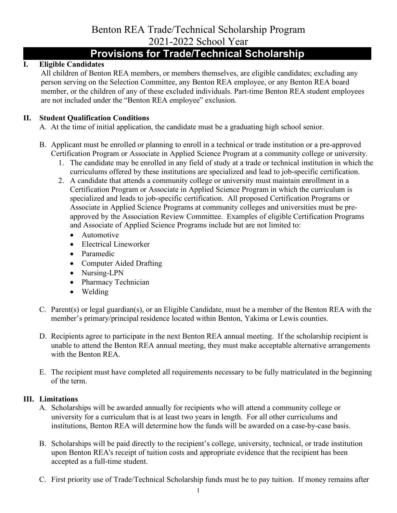# Benton REA Trade/Technical Scholarship Program 2021-2022 School Year

# **Provisions for Trade/Technical Scholarship**

# **I. Eligible Candidates**

All children of Benton REA members, or members themselves, are eligible candidates; excluding any person serving on the Selection Committee, any Benton REA employee, or any Benton REA board member, or the children of any of these excluded individuals. Part-time Benton REA student employees are not included under the "Benton REA employee" exclusion.

## **II. Student Qualification Conditions**

A. At the time of initial application, the candidate must be a graduating high school senior.

- B. Applicant must be enrolled or planning to enroll in a technical or trade institution or a pre-approved Certification Program or Associate in Applied Science Program at a community college or university.
	- 1. The candidate may be enrolled in any field of study at a trade or technical institution in which the curriculums offered by these institutions are specialized and lead to job-specific certification.
	- 2. A candidate that attends a community college or university must maintain enrollment in a Certification Program or Associate in Applied Science Program in which the curriculum is specialized and leads to job-specific certification. All proposed Certification Programs or Associate in Applied Science Programs at community colleges and universities must be preapproved by the Association Review Committee. Examples of eligible Certification Programs and Associate of Applied Science Programs include but are not limited to:
		- Automotive
		- Electrical Lineworker
		- Paramedic
		- Computer Aided Drafting
		- Nursing-LPN
		- Pharmacy Technician
		- Welding
- C. Parent(s) or legal guardian(s), or an Eligible Candidate, must be a member of the Benton REA with the member's primary/principal residence located within Benton, Yakima or Lewis counties.
- D. Recipients agree to participate in the next Benton REA annual meeting. If the scholarship recipient is unable to attend the Benton REA annual meeting, they must make acceptable alternative arrangements with the Benton REA.
- E. The recipient must have completed all requirements necessary to be fully matriculated in the beginning of the term.

### **III. Limitations**

- A. Scholarships will be awarded annually for recipients who will attend a community college or university for a curriculum that is at least two years in length. For all other curriculums and institutions, Benton REA will determine how the funds will be awarded on a case-by-case basis.
- B. Scholarships will be paid directly to the recipient's college, university, technical, or trade institution upon Benton REA's receipt of tuition costs and appropriate evidence that the recipient has been accepted as a full-time student.
- C. First priority use of Trade/Technical Scholarship funds must be to pay tuition. If money remains after